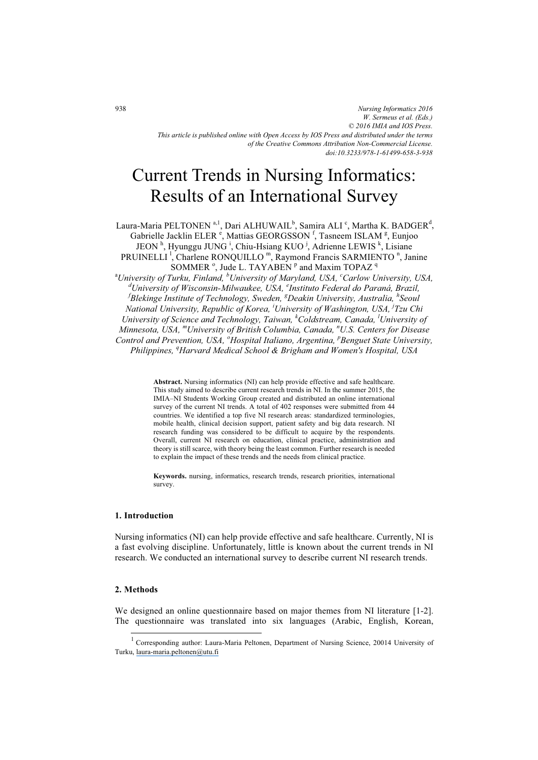# Current Trends in Nursing Informatics: Results of an International Survey

Laura-Maria PELTONEN  $\mathrm{^{a,l},D}$ ari ALHUWAIL $\mathrm{^{b},S}$ amira ALI  $\mathrm{^{c},M}$ artha K. BADGER $\mathrm{^{d},}$ Gabrielle Jacklin ELER<sup>e</sup>, Mattias GEORGSSON<sup>f</sup>, Tasneem ISLAM<sup>g</sup>, Eunjoo JEON<sup>h</sup>, Hyunggu JUNG<sup>1</sup>, Chiu-Hsiang KUO<sup>J</sup>, Adrienne LEWIS<sup>k</sup>, Lisiane PRUINELLI<sup>1</sup>, Charlene RONQUILLO<sup>m</sup>, Raymond Francis SARMIENTO<sup>n</sup>, Janine SOMMER<sup>°</sup>, Jude L. TAYABEN<sup>P</sup> and Maxim TOPAZ<sup>q</sup> a *University of Turku, Finland, <sup>b</sup> University of Maryland, USA, <sup>c</sup> Carlow University, USA, d University of Wisconsin-Milwaukee, USA, <sup>e</sup> Instituto Federal do Paraná, Brazil, f Blekinge Institute of Technology, Sweden, <sup>g</sup> Deakin University, Australia, <sup>h</sup> Seoul National University, Republic of Korea, <sup>i</sup> University of Washington, USA, <sup>j</sup> Tzu Chi University of Science and Technology, Taiwan, <sup>k</sup> Coldstream, Canada, <sup>l</sup> University of Minnesota, USA, mUniversity of British Columbia, Canada, n U.S. Centers for Disease Control and Prevention, USA, <sup>o</sup> Hospital Italiano, Argentina, <sup>p</sup> Benguet State University, Philippines, <sup>q</sup> Harvard Medical School & Brigham and Women's Hospital, USA* 

> **Abstract.** Nursing informatics (NI) can help provide effective and safe healthcare. This study aimed to describe current research trends in NI. In the summer 2015, the IMIA–NI Students Working Group created and distributed an online international survey of the current NI trends. A total of 402 responses were submitted from 44 countries. We identified a top five NI research areas: standardized terminologies, mobile health, clinical decision support, patient safety and big data research. NI research funding was considered to be difficult to acquire by the respondents. Overall, current NI research on education, clinical practice, administration and theory is still scarce, with theory being the least common. Further research is needed to explain the impact of these trends and the needs from clinical practice.

> **Keywords.** nursing, informatics, research trends, research priorities, international survey.

# **1. Introduction**

Nursing informatics (NI) can help provide effective and safe healthcare. Currently, NI is a fast evolving discipline. Unfortunately, little is known about the current trends in NI research. We conducted an international survey to describe current NI research trends.

## **2. Methods**

 $\overline{a}$ 

We designed an online questionnaire based on major themes from NI literature [1-2]. The questionnaire was translated into six languages (Arabic, English, Korean,

<sup>1</sup> Corresponding author: Laura-Maria Peltonen, Department of Nursing Science, 20014 University of Turku, laura-maria.peltonen@utu.fi